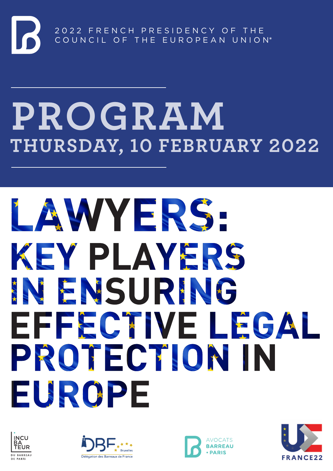## **PROGRAM THURSDAY, 10 FEBRUARY 2022**

# LAWYERS-KEY PLAYERS NEMSURING EFFECTIVE LEGAL PROTECTION IN EUROPE







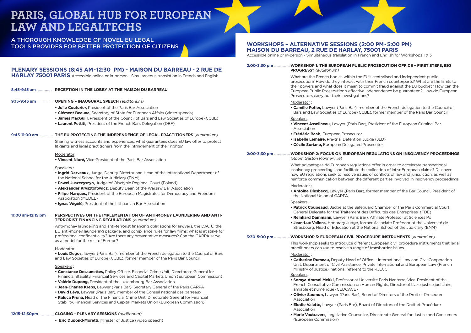### **WORKSHOPS – ALTERNATIVE SESSIONS (2:00 PM - 5:00 PM) MAISON DU BARREAU, 2 RUE DE HARLAY, 75001 PARIS**

Accessible online or in-person - Simultaneous translation in French and English for Workshops 1 & 3

#### **BLIC PROSECUTION OFFICE - FIRST STEPS, BIG**

he EU's centralised and independent public with their French counterparts? What are the limits to to commit fraud against the EU budget? How can the tive independence be guaranteed? How do European etions?

**• member of the French delegation to the Council of** (CCBE), former member of the Paris Bar Council

**Bar), President of the European Criminal Bar** 

 $\mathsf{p}$  Judge (JLD) **ed Prosecutor** 

#### **2:00-3:00-3:00-3:30 PMP 2:00-3:30 PMP 2: FOCULATIONS ON INSOLVENCY PROCEEDINGS**

Ilations offer in order to accelerate transnational e the collection of intra-European claims? Discover issues of conflicts of law and jurisdiction, as well as he different parties involved in insolvency proceedings

**Bar), former member of the Bar Council, President of** 

*afequard Chamber of the Paris Commercial Court,* nt des Difficultés des Entreprises (TDE) **Bar), Affiliate Professor at Sciences Po • Jean-Luc Vallens,** Honorary Judge, former Associate Professor at the Université de the National School of the Judiciary (ENM)

**ROCEDURE INSTRUMENTS** (auditorium) fferent European civil procedure instruments that legal nge of transborder issues.

*e* Office - International Law and Civil Cooperation te, Private International and European Law (French nt to the RJECC

. Université Paris Nanterre, Vice-President of the on Human Rights, Director of L'axe justice judiciaire,

**b**), Board of Directors of the Droit et Procédure

**Board of Directors of the Droit et Procédure** 

**• Marie Vautravers,** Legislative Counsellor, Directorate General for Justice and Consumers

|                   | PLENARY SESSIONS (8:45 AM-12:30 PM) - MAISON DU BARREAU - 2 RUE DE                                                                                                                                                                                                                                                                                                                              | 2:00-3:30 pm  WORKSHOP 1: THE EUROPEAN PUBL<br><b>PROGRESS?</b> (auditorium)                                                                                                                                          |
|-------------------|-------------------------------------------------------------------------------------------------------------------------------------------------------------------------------------------------------------------------------------------------------------------------------------------------------------------------------------------------------------------------------------------------|-----------------------------------------------------------------------------------------------------------------------------------------------------------------------------------------------------------------------|
|                   | HARLAY 75001 PARIS Accessible online or in-person - Simultaneous translation in French and English<br>8:45-9:15 am    RECEPTION IN THE LOBBY AT THE MAISON DU BARREAU                                                                                                                                                                                                                           | What are the French bodies within the<br>prosecution? How do they interact with<br>their powers and what does it mean to<br>European Public Prosecution's effective<br>Prosecutors carry out their investigatio       |
| 9:15-9:45 am      | <b>OPENING - INAUGURAL SPEECH (auditorium)</b>                                                                                                                                                                                                                                                                                                                                                  | Moderator:                                                                                                                                                                                                            |
|                   | <b>• Julie Couturier, President of the Paris Bar Association</b><br>• Clément Beaune, Secretary of State for European Affairs (video speech)                                                                                                                                                                                                                                                    | • Camille Potier, Lawyer (Paris Bar), me<br>Bars and Law Societies of Europe (CO                                                                                                                                      |
|                   | . James MacGuill, President of the Council of Bars and Law Societies of Europe (CCBE)<br>• Laurent Pettiti, President of the French Bars Delegation (DBF)                                                                                                                                                                                                                                       | Speakers:<br>. Vincent Asselineau, Lawyer (Paris Ba<br>Association                                                                                                                                                    |
| 9:45-11:00 am     | THE EU PROTECTING THE INDEPENDENCE OF LEGAL PRACTITIONERS (auditorium)                                                                                                                                                                                                                                                                                                                          | · Frédéric Baab, European Prosecutor                                                                                                                                                                                  |
|                   | Sharing witness accounts and experiences: what guarantees does EU law offer to protect<br>litigants and legal practitioners from the infringement of their rights?                                                                                                                                                                                                                              | . Isabelle Lemaire, Pre-trial Detention.<br><b>• Cécile Soriano, European Delegated</b>                                                                                                                               |
|                   | Moderator:<br>. Vincent Nioré, Vice-President of the Paris Bar Association                                                                                                                                                                                                                                                                                                                      | 2:00-3:30 pm  WORKSHOP 2: FOCUS ON EUROPEAI<br>(Room Gaston Monnerville)                                                                                                                                              |
|                   | Speakers:<br>. Ingrid Derveaux, Judge, Deputy Director and Head of the International Department of<br>the National School for the Judiciary (ENM)                                                                                                                                                                                                                                               | What advantages do European regulat<br>insolvency proceedings and facilitate th<br>how EU regulations seek to resolve issu<br>reinforce communication between the                                                     |
|                   | • Pawel Juszczyszyn, Judge of Olsztynie Regional Court (Poland)<br>. Aleksander Krysztofowicz, Deputy Dean of the Warsaw Bar Association<br>. Filipe Marques, President of the European Magistrates for Democracy and Freedom<br><b>Association (MEDEL)</b>                                                                                                                                     | Moderator:<br><b>• Antoine Diesbecq, Lawyer (Paris Bar)</b><br>the National Union of CARPA                                                                                                                            |
| 11:00 am-12:15 pm | • Ignas Vėgėlė, President of the Lithuanian Bar Association<br><b> PERSPECTIVES ON THE IMPLEMENTATION OF ANTI-MONEY LAUNDERING AND ANTI-</b><br><b>TERRORIST FINANCING REGULATIONS (auditorium)</b><br>Anti-money laundering and anti-terrorist financing obligations for lawyers, the DAC 6, the<br>EU anti-money laundering package, and compliance rules for law firms: what is at stake for | Speakers:<br>• Patrick Coupeaud, Judge at the Safe<br>General Delegate for the Traitement o<br>. Reinhard Dammann, Lawyer (Paris B.<br>• Jean-Luc Vallens, Honorary Judge, fo<br>Strasbourg, Head of Education at the |
|                   | professional confidentiality? Are there any preventative measures? Can the CARPA serve<br>as a model for the rest of Europe?                                                                                                                                                                                                                                                                    | 3:30-5:00 pm  WORKSHOP 3: EUROPEAN CIVIL PRO                                                                                                                                                                          |
|                   | Moderator:                                                                                                                                                                                                                                                                                                                                                                                      | This workshop seeks to introduce diffe<br>practitioners can use to resolve a range                                                                                                                                    |
|                   | . Louis Degos, lawyer (Paris Bar), member of the French delegation to the Council of Bars<br>and Law Societies of Europe (CCBE), former member of the Paris Bar Council                                                                                                                                                                                                                         | Moderator:<br>• Catherine Rumeau, Deputy Head of O<br>Unit, Department of Civil Assistance,                                                                                                                           |
|                   | Speakers:<br><b>• Constance Desaunettes, Policy Officer, Financial Crime Unit, Directorate General for</b><br>Financial Stability, Financial Services and Capital Markets Union (European Commission)                                                                                                                                                                                           | Ministry of Justice), national referent t<br>Speakers:                                                                                                                                                                |
|                   | • Valérie Dupong, President of the Luxembourg Bar Association<br>• Jean-Charles Krebs, Lawyer (Paris Bar), Secretary General of the Paris CARPA                                                                                                                                                                                                                                                 | · Soraya Amrani Mekki, Professor at Ur<br>French Consultative Commission on H<br>amiable et numérique (CEDCACE)                                                                                                       |
|                   | • David Lévy, Lawyer (Paris Bar), member of the Conseil national des barreaux<br>• Raluca Pruna, Head of the Financial Crime Unit, Directorate General for Financial<br>Stability, Financial Services and Capital Markets Union (European Commission)                                                                                                                                           | · Olivier Saumon, Lawyer (Paris Bar), E<br>Association<br><b>· Elodie Valette, Lawyer (Paris Bar), Bo</b><br>Association                                                                                              |
| 12:15-12:30pm     | <b>CLOSING - PLENARY SESSIONS</b> (auditorium)<br>• Eric Dupond-Moretti, Minister of Justice (video speech)                                                                                                                                                                                                                                                                                     | . Marie Vautravers, Legislative Counsel<br>(European Commission)                                                                                                                                                      |
|                   |                                                                                                                                                                                                                                                                                                                                                                                                 |                                                                                                                                                                                                                       |

A THOROUGH KNOWLEDGE OF NOVEL EU LEGAL TOOLS PROVIDES FOR BETTER PROTECTION OF CITIZENS

### **PARIS, GLOBAL HUB FOR EUROPEAN LAW AND LEGALTECHS**